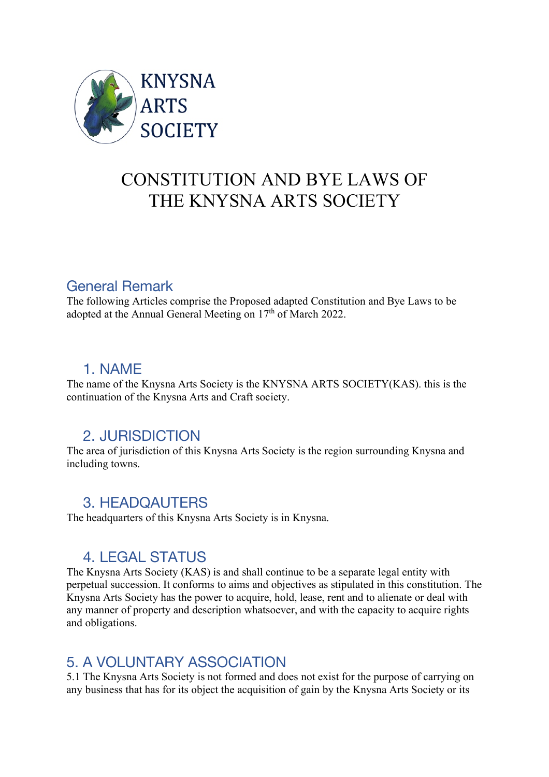

# CONSTITUTION AND BYE LAWS OF THE KNYSNA ARTS SOCIETY

### General Remark

The following Articles comprise the Proposed adapted Constitution and Bye Laws to be adopted at the Annual General Meeting on 17<sup>th</sup> of March 2022.

### 1. NAME

The name of the Knysna Arts Society is the KNYSNA ARTS SOCIETY(KAS). this is the continuation of the Knysna Arts and Craft society.

# 2. JURISDICTION

The area of jurisdiction of this Knysna Arts Society is the region surrounding Knysna and including towns.

### 3. HEADQAUTERS

The headquarters of this Knysna Arts Society is in Knysna.

# 4. LEGAL STATUS

The Knysna Arts Society (KAS) is and shall continue to be a separate legal entity with perpetual succession. It conforms to aims and objectives as stipulated in this constitution. The Knysna Arts Society has the power to acquire, hold, lease, rent and to alienate or deal with any manner of property and description whatsoever, and with the capacity to acquire rights and obligations.

# 5. A VOLUNTARY ASSOCIATION

5.1 The Knysna Arts Society is not formed and does not exist for the purpose of carrying on any business that has for its object the acquisition of gain by the Knysna Arts Society or its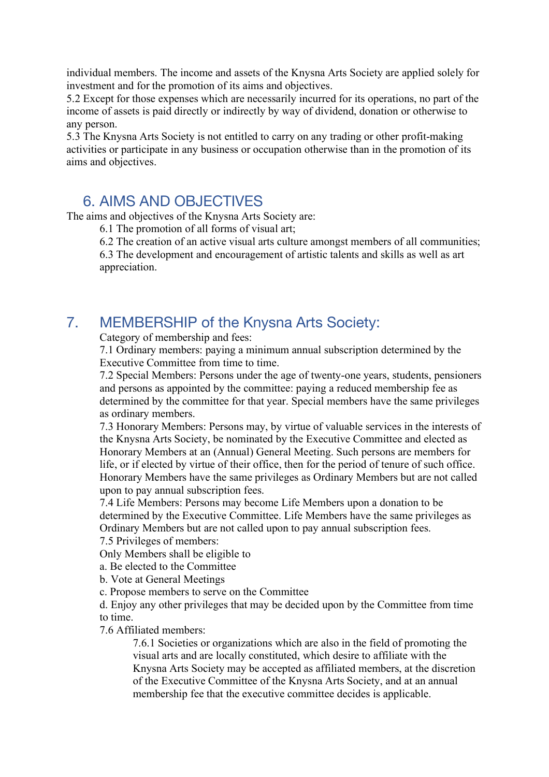individual members. The income and assets of the Knysna Arts Society are applied solely for investment and for the promotion of its aims and objectives.

5.2 Except for those expenses which are necessarily incurred for its operations, no part of the income of assets is paid directly or indirectly by way of dividend, donation or otherwise to any person.

5.3 The Knysna Arts Society is not entitled to carry on any trading or other profit-making activities or participate in any business or occupation otherwise than in the promotion of its aims and objectives.

### 6. AIMS AND OBJECTIVES

The aims and objectives of the Knysna Arts Society are:

6.1 The promotion of all forms of visual art;

6.2 The creation of an active visual arts culture amongst members of all communities;

6.3 The development and encouragement of artistic talents and skills as well as art appreciation.

### 7. MEMBERSHIP of the Knysna Arts Society:

Category of membership and fees:

7.1 Ordinary members: paying a minimum annual subscription determined by the Executive Committee from time to time.

7.2 Special Members: Persons under the age of twenty-one years, students, pensioners and persons as appointed by the committee: paying a reduced membership fee as determined by the committee for that year. Special members have the same privileges as ordinary members.

7.3 Honorary Members: Persons may, by virtue of valuable services in the interests of the Knysna Arts Society, be nominated by the Executive Committee and elected as Honorary Members at an (Annual) General Meeting. Such persons are members for life, or if elected by virtue of their office, then for the period of tenure of such office. Honorary Members have the same privileges as Ordinary Members but are not called upon to pay annual subscription fees.

7.4 Life Members: Persons may become Life Members upon a donation to be determined by the Executive Committee. Life Members have the same privileges as Ordinary Members but are not called upon to pay annual subscription fees.

7.5 Privileges of members:

Only Members shall be eligible to

a. Be elected to the Committee

b. Vote at General Meetings

c. Propose members to serve on the Committee

d. Enjoy any other privileges that may be decided upon by the Committee from time to time.

7.6 Affiliated members:

7.6.1 Societies or organizations which are also in the field of promoting the visual arts and are locally constituted, which desire to affiliate with the Knysna Arts Society may be accepted as affiliated members, at the discretion of the Executive Committee of the Knysna Arts Society, and at an annual membership fee that the executive committee decides is applicable.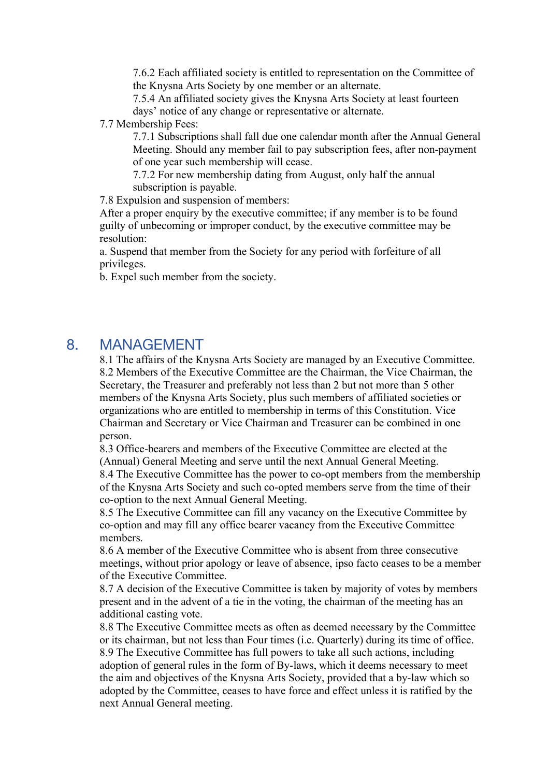7.6.2 Each affiliated society is entitled to representation on the Committee of the Knysna Arts Society by one member or an alternate.

7.5.4 An affiliated society gives the Knysna Arts Society at least fourteen days' notice of any change or representative or alternate.

7.7 Membership Fees:

7.7.1 Subscriptions shall fall due one calendar month after the Annual General Meeting. Should any member fail to pay subscription fees, after non-payment of one year such membership will cease.

7.7.2 For new membership dating from August, only half the annual subscription is payable.

7.8 Expulsion and suspension of members:

After a proper enquiry by the executive committee; if any member is to be found guilty of unbecoming or improper conduct, by the executive committee may be resolution:

a. Suspend that member from the Society for any period with forfeiture of all privileges.

b. Expel such member from the society.

#### 8. MANAGEMENT

8.1 The affairs of the Knysna Arts Society are managed by an Executive Committee. 8.2 Members of the Executive Committee are the Chairman, the Vice Chairman, the Secretary, the Treasurer and preferably not less than 2 but not more than 5 other members of the Knysna Arts Society, plus such members of affiliated societies or organizations who are entitled to membership in terms of this Constitution. Vice Chairman and Secretary or Vice Chairman and Treasurer can be combined in one person.

8.3 Office-bearers and members of the Executive Committee are elected at the (Annual) General Meeting and serve until the next Annual General Meeting. 8.4 The Executive Committee has the power to co-opt members from the membership

of the Knysna Arts Society and such co-opted members serve from the time of their co-option to the next Annual General Meeting.

8.5 The Executive Committee can fill any vacancy on the Executive Committee by co-option and may fill any office bearer vacancy from the Executive Committee members.

8.6 A member of the Executive Committee who is absent from three consecutive meetings, without prior apology or leave of absence, ipso facto ceases to be a member of the Executive Committee.

8.7 A decision of the Executive Committee is taken by majority of votes by members present and in the advent of a tie in the voting, the chairman of the meeting has an additional casting vote.

8.8 The Executive Committee meets as often as deemed necessary by the Committee or its chairman, but not less than Four times (i.e. Quarterly) during its time of office. 8.9 The Executive Committee has full powers to take all such actions, including adoption of general rules in the form of By-laws, which it deems necessary to meet the aim and objectives of the Knysna Arts Society, provided that a by-law which so adopted by the Committee, ceases to have force and effect unless it is ratified by the next Annual General meeting.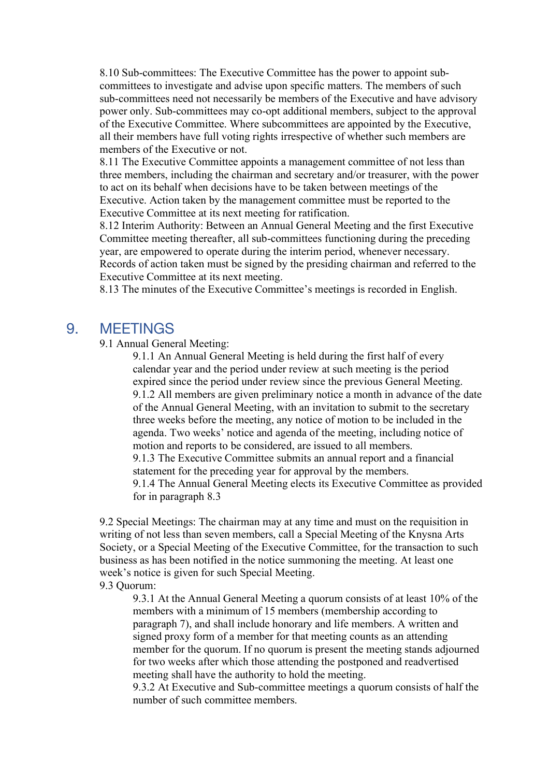8.10 Sub-committees: The Executive Committee has the power to appoint subcommittees to investigate and advise upon specific matters. The members of such sub-committees need not necessarily be members of the Executive and have advisory power only. Sub-committees may co-opt additional members, subject to the approval of the Executive Committee. Where subcommittees are appointed by the Executive, all their members have full voting rights irrespective of whether such members are members of the Executive or not.

8.11 The Executive Committee appoints a management committee of not less than three members, including the chairman and secretary and/or treasurer, with the power to act on its behalf when decisions have to be taken between meetings of the Executive. Action taken by the management committee must be reported to the Executive Committee at its next meeting for ratification.

8.12 Interim Authority: Between an Annual General Meeting and the first Executive Committee meeting thereafter, all sub-committees functioning during the preceding year, are empowered to operate during the interim period, whenever necessary. Records of action taken must be signed by the presiding chairman and referred to the Executive Committee at its next meeting.

8.13 The minutes of the Executive Committee's meetings is recorded in English.

### 9. MEETINGS

9.1 Annual General Meeting:

9.1.1 An Annual General Meeting is held during the first half of every calendar year and the period under review at such meeting is the period expired since the period under review since the previous General Meeting. 9.1.2 All members are given preliminary notice a month in advance of the date of the Annual General Meeting, with an invitation to submit to the secretary three weeks before the meeting, any notice of motion to be included in the agenda. Two weeks' notice and agenda of the meeting, including notice of motion and reports to be considered, are issued to all members. 9.1.3 The Executive Committee submits an annual report and a financial statement for the preceding year for approval by the members. 9.1.4 The Annual General Meeting elects its Executive Committee as provided for in paragraph 8.3

9.2 Special Meetings: The chairman may at any time and must on the requisition in writing of not less than seven members, call a Special Meeting of the Knysna Arts Society, or a Special Meeting of the Executive Committee, for the transaction to such business as has been notified in the notice summoning the meeting. At least one week's notice is given for such Special Meeting. 9.3 Quorum:

9.3.1 At the Annual General Meeting a quorum consists of at least 10% of the members with a minimum of 15 members (membership according to paragraph 7), and shall include honorary and life members. A written and signed proxy form of a member for that meeting counts as an attending member for the quorum. If no quorum is present the meeting stands adjourned for two weeks after which those attending the postponed and readvertised meeting shall have the authority to hold the meeting.

9.3.2 At Executive and Sub-committee meetings a quorum consists of half the number of such committee members.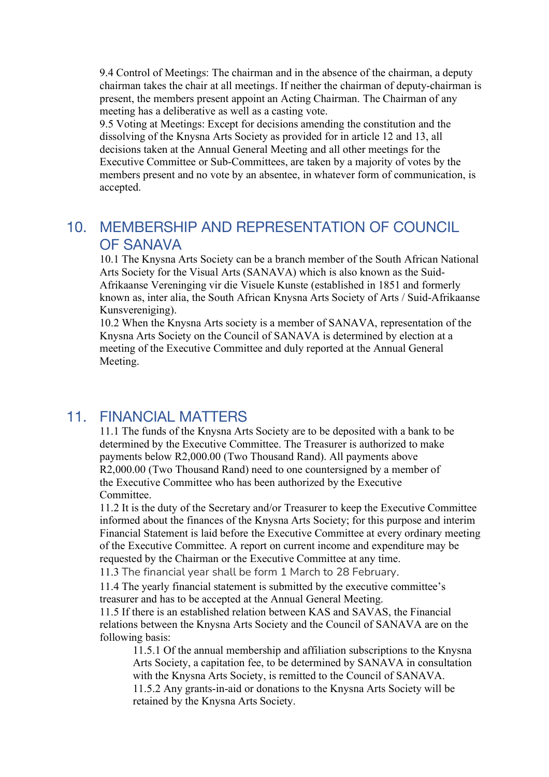9.4 Control of Meetings: The chairman and in the absence of the chairman, a deputy chairman takes the chair at all meetings. If neither the chairman of deputy-chairman is present, the members present appoint an Acting Chairman. The Chairman of any meeting has a deliberative as well as a casting vote.

9.5 Voting at Meetings: Except for decisions amending the constitution and the dissolving of the Knysna Arts Society as provided for in article 12 and 13, all decisions taken at the Annual General Meeting and all other meetings for the Executive Committee or Sub-Committees, are taken by a majority of votes by the members present and no vote by an absentee, in whatever form of communication, is accepted.

# 10. MEMBERSHIP AND REPRESENTATION OF COUNCIL OF SANAVA

10.1 The Knysna Arts Society can be a branch member of the South African National Arts Society for the Visual Arts (SANAVA) which is also known as the Suid-Afrikaanse Vereninging vir die Visuele Kunste (established in 1851 and formerly known as, inter alia, the South African Knysna Arts Society of Arts / Suid-Afrikaanse Kunsvereniging).

10.2 When the Knysna Arts society is a member of SANAVA, representation of the Knysna Arts Society on the Council of SANAVA is determined by election at a meeting of the Executive Committee and duly reported at the Annual General Meeting.

### 11. FINANCIAL MATTERS

11.1 The funds of the Knysna Arts Society are to be deposited with a bank to be determined by the Executive Committee. The Treasurer is authorized to make payments below R2,000.00 (Two Thousand Rand). All payments above R2,000.00 (Two Thousand Rand) need to one countersigned by a member of the Executive Committee who has been authorized by the Executive Committee.

11.2 It is the duty of the Secretary and/or Treasurer to keep the Executive Committee informed about the finances of the Knysna Arts Society; for this purpose and interim Financial Statement is laid before the Executive Committee at every ordinary meeting of the Executive Committee. A report on current income and expenditure may be requested by the Chairman or the Executive Committee at any time.

11.3 The financial year shall be form 1 March to 28 February.

11.4 The yearly financial statement is submitted by the executive committee's treasurer and has to be accepted at the Annual General Meeting.

11.5 If there is an established relation between KAS and SAVAS, the Financial relations between the Knysna Arts Society and the Council of SANAVA are on the following basis:

11.5.1 Of the annual membership and affiliation subscriptions to the Knysna Arts Society, a capitation fee, to be determined by SANAVA in consultation with the Knysna Arts Society, is remitted to the Council of SANAVA. 11.5.2 Any grants-in-aid or donations to the Knysna Arts Society will be retained by the Knysna Arts Society.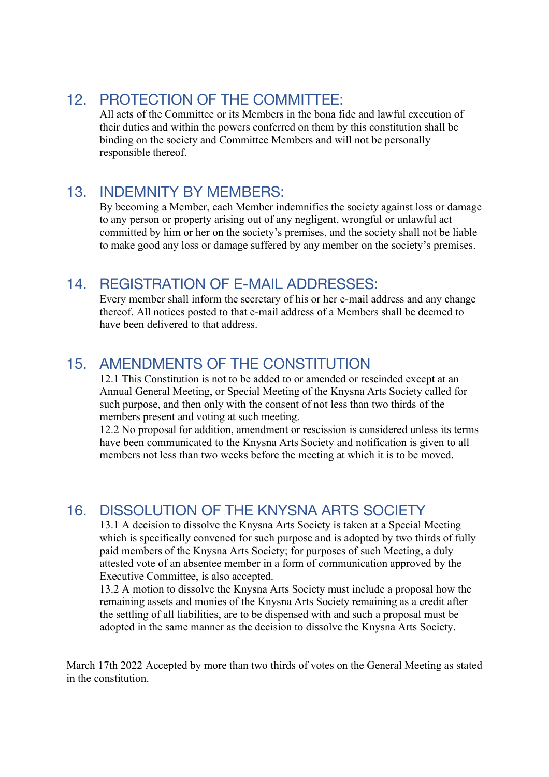# 12. PROTECTION OF THE COMMITTEE:

All acts of the Committee or its Members in the bona fide and lawful execution of their duties and within the powers conferred on them by this constitution shall be binding on the society and Committee Members and will not be personally responsible thereof.

### 13. INDEMNITY BY MEMBERS:

By becoming a Member, each Member indemnifies the society against loss or damage to any person or property arising out of any negligent, wrongful or unlawful act committed by him or her on the society's premises, and the society shall not be liable to make good any loss or damage suffered by any member on the society's premises.

# 14. REGISTRATION OF E-MAIL ADDRESSES:

Every member shall inform the secretary of his or her e-mail address and any change thereof. All notices posted to that e-mail address of a Members shall be deemed to have been delivered to that address.

# 15. AMENDMENTS OF THE CONSTITUTION

12.1 This Constitution is not to be added to or amended or rescinded except at an Annual General Meeting, or Special Meeting of the Knysna Arts Society called for such purpose, and then only with the consent of not less than two thirds of the members present and voting at such meeting.

12.2 No proposal for addition, amendment or rescission is considered unless its terms have been communicated to the Knysna Arts Society and notification is given to all members not less than two weeks before the meeting at which it is to be moved.

# 16. DISSOLUTION OF THE KNYSNA ARTS SOCIETY

13.1 A decision to dissolve the Knysna Arts Society is taken at a Special Meeting which is specifically convened for such purpose and is adopted by two thirds of fully paid members of the Knysna Arts Society; for purposes of such Meeting, a duly attested vote of an absentee member in a form of communication approved by the Executive Committee, is also accepted.

13.2 A motion to dissolve the Knysna Arts Society must include a proposal how the remaining assets and monies of the Knysna Arts Society remaining as a credit after the settling of all liabilities, are to be dispensed with and such a proposal must be adopted in the same manner as the decision to dissolve the Knysna Arts Society.

March 17th 2022 Accepted by more than two thirds of votes on the General Meeting as stated in the constitution.